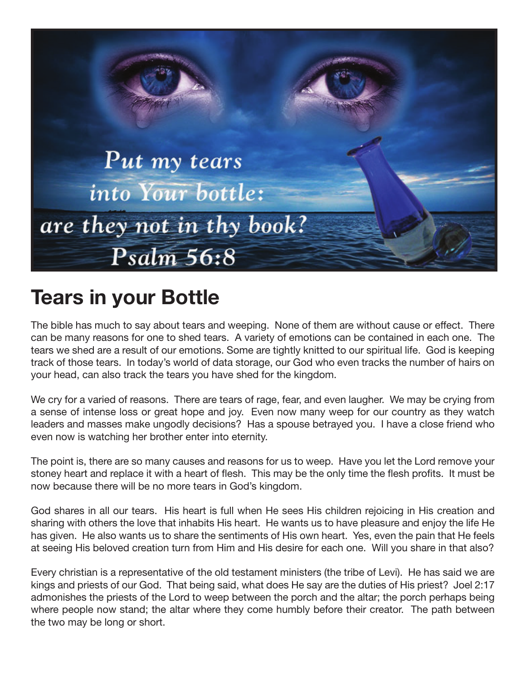

## **Tears in your Bottle**

The bible has much to say about tears and weeping. None of them are without cause or effect. There can be many reasons for one to shed tears. A variety of emotions can be contained in each one. The tears we shed are a result of our emotions. Some are tightly knitted to our spiritual life. God is keeping track of those tears. In today's world of data storage, our God who even tracks the number of hairs on your head, can also track the tears you have shed for the kingdom.

We cry for a varied of reasons. There are tears of rage, fear, and even laugher. We may be crying from a sense of intense loss or great hope and joy. Even now many weep for our country as they watch leaders and masses make ungodly decisions? Has a spouse betrayed you. I have a close friend who even now is watching her brother enter into eternity.

The point is, there are so many causes and reasons for us to weep. Have you let the Lord remove your stoney heart and replace it with a heart of flesh. This may be the only time the flesh profits. It must be now because there will be no more tears in God's kingdom.

God shares in all our tears. His heart is full when He sees His children rejoicing in His creation and sharing with others the love that inhabits His heart. He wants us to have pleasure and enjoy the life He has given. He also wants us to share the sentiments of His own heart. Yes, even the pain that He feels at seeing His beloved creation turn from Him and His desire for each one. Will you share in that also?

Every christian is a representative of the old testament ministers (the tribe of Levi). He has said we are kings and priests of our God. That being said, what does He say are the duties of His priest? Joel 2:17 admonishes the priests of the Lord to weep between the porch and the altar; the porch perhaps being where people now stand; the altar where they come humbly before their creator. The path between the two may be long or short.